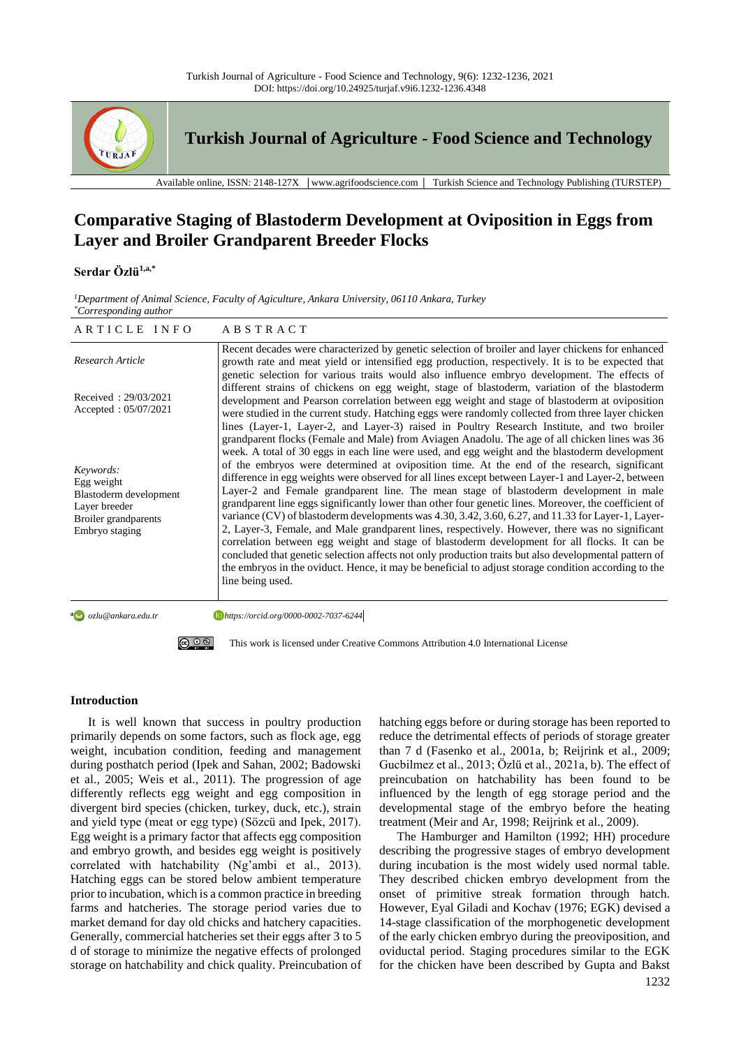

**Turkish Journal of Agriculture - Food Science and Technology**

Available online, ISSN: 2148-127X │www.agrifoodscience.com │ Turkish Science and Technology Publishing (TURSTEP)

# **Comparative Staging of Blastoderm Development at Oviposition in Eggs from Layer and Broiler Grandparent Breeder Flocks**

# **Serdar Özlü1,a,\***

*<sup>1</sup>Department of Animal Science, Faculty of Agiculture, Ankara University, 06110 Ankara, Turkey \*Corresponding author*

| ARTICLE INFO                                                                                                 | ABSTRACT                                                                                                                                                                                                                                                                                                                                                                                                                                                                                                                                                                                                                                                                                                                                                                                                                                                                                                                                                                                                                                                                                                                                             |
|--------------------------------------------------------------------------------------------------------------|------------------------------------------------------------------------------------------------------------------------------------------------------------------------------------------------------------------------------------------------------------------------------------------------------------------------------------------------------------------------------------------------------------------------------------------------------------------------------------------------------------------------------------------------------------------------------------------------------------------------------------------------------------------------------------------------------------------------------------------------------------------------------------------------------------------------------------------------------------------------------------------------------------------------------------------------------------------------------------------------------------------------------------------------------------------------------------------------------------------------------------------------------|
| Research Article                                                                                             | Recent decades were characterized by genetic selection of broiler and layer chickens for enhanced<br>growth rate and meat yield or intensified egg production, respectively. It is to be expected that<br>genetic selection for various traits would also influence embryo development. The effects of                                                                                                                                                                                                                                                                                                                                                                                                                                                                                                                                                                                                                                                                                                                                                                                                                                               |
| Received: 29/03/2021<br>Accepted: $05/07/2021$                                                               | different strains of chickens on egg weight, stage of blastoderm, variation of the blastoderm<br>development and Pearson correlation between egg weight and stage of blastoderm at oviposition<br>were studied in the current study. Hatching eggs were randomly collected from three layer chicken<br>lines (Layer-1, Layer-2, and Layer-3) raised in Poultry Research Institute, and two broiler                                                                                                                                                                                                                                                                                                                                                                                                                                                                                                                                                                                                                                                                                                                                                   |
| Keywords:<br>Egg weight<br>Blastoderm development<br>Layer breeder<br>Broiler grandparents<br>Embryo staging | grandparent flocks (Female and Male) from Aviagen Anadolu. The age of all chicken lines was 36<br>week. A total of 30 eggs in each line were used, and egg weight and the blastoderm development<br>of the embryos were determined at oviposition time. At the end of the research, significant<br>difference in egg weights were observed for all lines except between Layer-1 and Layer-2, between<br>Layer-2 and Female grandparent line. The mean stage of blastoderm development in male<br>grandparent line eggs significantly lower than other four genetic lines. Moreover, the coefficient of<br>variance (CV) of blastoderm developments was 4.30, 3.42, 3.60, 6.27, and 11.33 for Layer-1, Layer-<br>2, Layer-3, Female, and Male grandparent lines, respectively. However, there was no significant<br>correlation between egg weight and stage of blastoderm development for all flocks. It can be<br>concluded that genetic selection affects not only production traits but also developmental pattern of<br>the embryos in the oviduct. Hence, it may be beneficial to adjust storage condition according to the<br>line being used. |
|                                                                                                              |                                                                                                                                                                                                                                                                                                                                                                                                                                                                                                                                                                                                                                                                                                                                                                                                                                                                                                                                                                                                                                                                                                                                                      |

**a** ozlu@ankara.edu.tr

*ozlu@ankara.edu.tr https://orcid.org/0000-0002-7037-6244*



## **Introduction**

It is well known that success in poultry production primarily depends on some factors, such as flock age, egg weight, incubation condition, feeding and management during posthatch period (Ipek and Sahan, 2002; Badowski et al., 2005; Weis et al., 2011). The progression of age differently reflects egg weight and egg composition in divergent bird species (chicken, turkey, duck, etc.), strain and yield type (meat or egg type) (Sözcü and Ipek, 2017). Egg weight is a primary factor that affects egg composition and embryo growth, and besides egg weight is positively correlated with hatchability (Ng'ambi et al., 2013). Hatching eggs can be stored below ambient temperature prior to incubation, which is a common practice in breeding farms and hatcheries. The storage period varies due to market demand for day old chicks and hatchery capacities. Generally, commercial hatcheries set their eggs after 3 to 5 d of storage to minimize the negative effects of prolonged storage on hatchability and chick quality. Preincubation of hatching eggs before or during storage has been reported to reduce the detrimental effects of periods of storage greater than 7 d (Fasenko et al., 2001a, b; Reijrink et al., 2009; Gucbilmez et al., 2013; Özlü et al., 2021a, b). The effect of preincubation on hatchability has been found to be influenced by the length of egg storage period and the developmental stage of the embryo before the heating treatment (Meir and Ar, 1998; Reijrink et al., 2009).

The Hamburger and Hamilton (1992; HH) procedure describing the progressive stages of embryo development during incubation is the most widely used normal table. They described chicken embryo development from the onset of primitive streak formation through hatch. However, Eyal Giladi and Kochav (1976; EGK) devised a 14-stage classification of the morphogenetic development of the early chicken embryo during the preoviposition, and oviductal period. Staging procedures similar to the EGK for the chicken have been described by Gupta and Bakst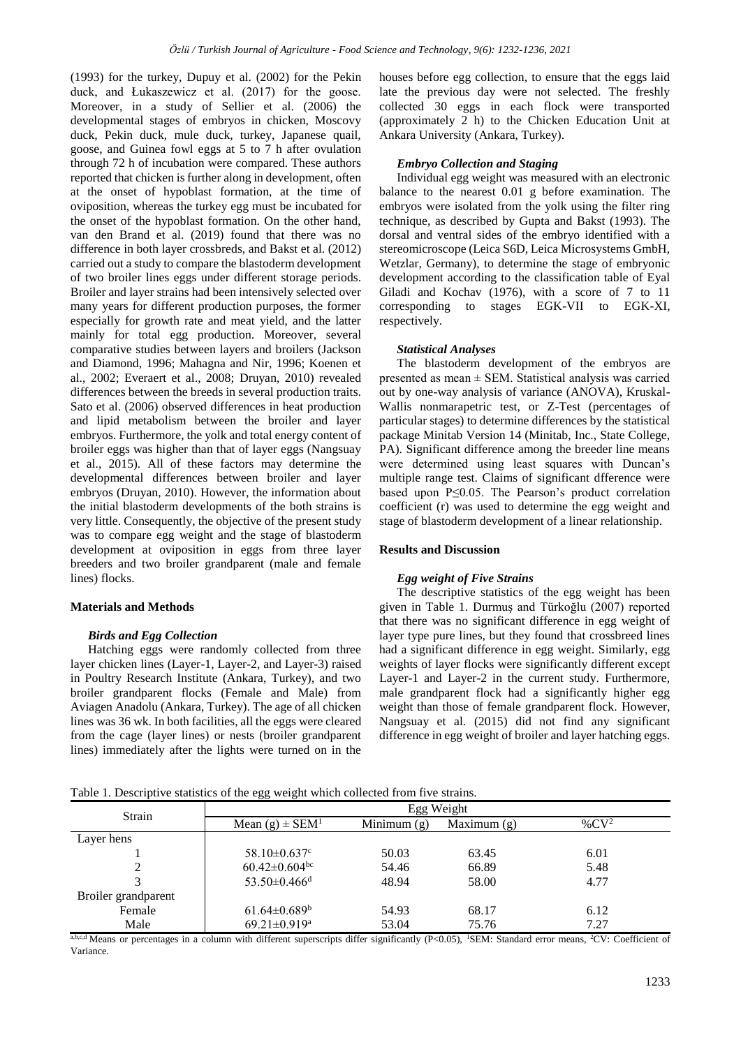(1993) for the turkey, Dupuy et al. (2002) for the Pekin duck, and Łukaszewicz et al. (2017) for the goose. Moreover, in a study of Sellier et al. (2006) the developmental stages of embryos in chicken, Moscovy duck, Pekin duck, mule duck, turkey, Japanese quail, goose, and Guinea fowl eggs at 5 to 7 h after ovulation through 72 h of incubation were compared. These authors reported that chicken is further along in development, often at the onset of hypoblast formation, at the time of oviposition, whereas the turkey egg must be incubated for the onset of the hypoblast formation. On the other hand, van den Brand et al. (2019) found that there was no difference in both layer crossbreds, and Bakst et al. (2012) carried out a study to compare the blastoderm development of two broiler lines eggs under different storage periods. Broiler and layer strains had been intensively selected over many years for different production purposes, the former especially for growth rate and meat yield, and the latter mainly for total egg production. Moreover, several comparative studies between layers and broilers (Jackson and Diamond, 1996; Mahagna and Nir, 1996; Koenen et al., 2002; Everaert et al., 2008; Druyan, 2010) revealed differences between the breeds in several production traits. Sato et al. (2006) observed differences in heat production and lipid metabolism between the broiler and layer embryos. Furthermore, the yolk and total energy content of broiler eggs was higher than that of layer eggs (Nangsuay et al., 2015). All of these factors may determine the developmental differences between broiler and layer embryos (Druyan, 2010). However, the information about the initial blastoderm developments of the both strains is very little. Consequently, the objective of the present study was to compare egg weight and the stage of blastoderm development at oviposition in eggs from three layer breeders and two broiler grandparent (male and female lines) flocks.

# **Materials and Methods**

#### *Birds and Egg Collection*

Hatching eggs were randomly collected from three layer chicken lines (Layer-1, Layer-2, and Layer-3) raised in Poultry Research Institute (Ankara, Turkey), and two broiler grandparent flocks (Female and Male) from Aviagen Anadolu (Ankara, Turkey). The age of all chicken lines was 36 wk. In both facilities, all the eggs were cleared from the cage (layer lines) or nests (broiler grandparent lines) immediately after the lights were turned on in the houses before egg collection, to ensure that the eggs laid late the previous day were not selected. The freshly collected 30 eggs in each flock were transported (approximately 2 h) to the Chicken Education Unit at Ankara University (Ankara, Turkey).

#### *Embryo Collection and Staging*

Individual egg weight was measured with an electronic balance to the nearest 0.01 g before examination. The embryos were isolated from the yolk using the filter ring technique, as described by Gupta and Bakst (1993). The dorsal and ventral sides of the embryo identified with a stereomicroscope (Leica S6D, Leica Microsystems GmbH, Wetzlar, Germany), to determine the stage of embryonic development according to the classification table of Eyal Giladi and Kochav (1976), with a score of 7 to 11 corresponding to stages EGK-VII to EGK-XI, respectively.

#### *Statistical Analyses*

The blastoderm development of the embryos are presented as mean ± SEM. Statistical analysis was carried out by one-way analysis of variance (ANOVA), Kruskal-Wallis nonmarapetric test, or Z-Test (percentages of particular stages) to determine differences by the statistical package Minitab Version 14 (Minitab, Inc., State College, PA). Significant difference among the breeder line means were determined using least squares with Duncan's multiple range test. Claims of significant dfference were based upon P≤0.05. The Pearson's product correlation coefficient (r) was used to determine the egg weight and stage of blastoderm development of a linear relationship.

# **Results and Discussion**

#### *Egg weight of Five Strains*

The descriptive statistics of the egg weight has been given in Table 1. Durmuş and Türkoğlu (2007) reported that there was no significant difference in egg weight of layer type pure lines, but they found that crossbreed lines had a significant difference in egg weight. Similarly, egg weights of layer flocks were significantly different except Layer-1 and Layer-2 in the current study. Furthermore, male grandparent flock had a significantly higher egg weight than those of female grandparent flock. However, Nangsuay et al. (2015) did not find any significant difference in egg weight of broiler and layer hatching eggs.

Table 1. Descriptive statistics of the egg weight which collected from five strains.

| Strain              | Egg Weight                        |               |               |         |
|---------------------|-----------------------------------|---------------|---------------|---------|
|                     | Mean $(g) \pm SEM1$               | Minimum $(g)$ | Maximum $(g)$ | % $CV2$ |
| Layer hens          |                                   |               |               |         |
|                     | 58.10 $\pm$ 0.637 $\rm{^{\circ}}$ | 50.03         | 63.45         | 6.01    |
|                     | $60.42 \pm 0.604$ <sup>bc</sup>   | 54.46         | 66.89         | 5.48    |
|                     | $53.50 \pm 0.466$ <sup>d</sup>    | 48.94         | 58.00         | 4.77    |
| Broiler grandparent |                                   |               |               |         |
| Female              | $61.64 \pm 0.689$ <sup>b</sup>    | 54.93         | 68.17         | 6.12    |
| Male                | 69.21±0.919 <sup>a</sup>          | 53.04         | 75.76         | 7.27    |

 $a,b,c,d$  Means or percentages in a column with different superscripts differ significantly (P<0.05), <sup>1</sup>SEM: Standard error means, <sup>2</sup>CV: Coefficient of Variance.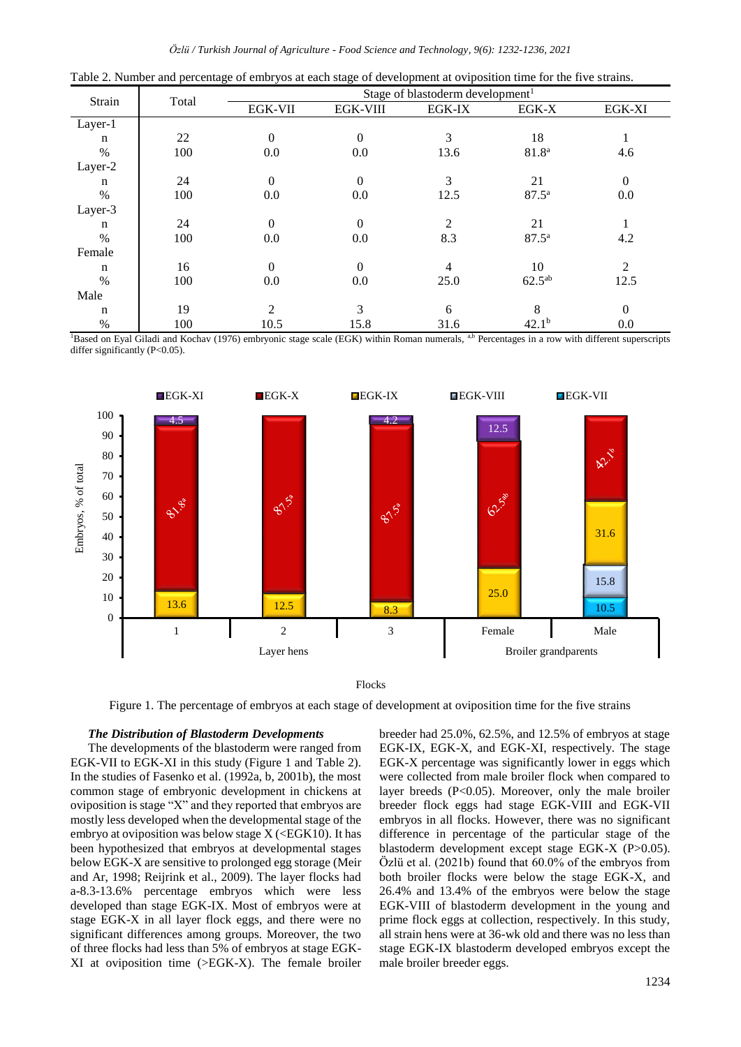|         | $\circ$<br>Total |                | <u>.</u><br>$\circ$<br>Stage of blastoderm development <sup>1</sup> |        |                   |                |
|---------|------------------|----------------|---------------------------------------------------------------------|--------|-------------------|----------------|
| Strain  |                  | <b>EGK-VII</b> | <b>EGK-VIII</b>                                                     | EGK-IX | EGK-X             | EGK-XI         |
| Layer-1 |                  |                |                                                                     |        |                   |                |
| n       | 22               | $\Omega$       | 0                                                                   | 3      | 18                |                |
| $\%$    | 100              | 0.0            | 0.0                                                                 | 13.6   | 81.8 <sup>a</sup> | 4.6            |
| Layer-2 |                  |                |                                                                     |        |                   |                |
| n       | 24               | $\mathbf{0}$   | $\overline{0}$                                                      | 3      | 21                | $\overline{0}$ |
| $\%$    | 100              | $0.0\,$        | 0.0                                                                 | 12.5   | $87.5^{\rm a}$    | 0.0            |
| Layer-3 |                  |                |                                                                     |        |                   |                |
| n       | 24               | $\Omega$       | $\theta$                                                            | 2      | 21                |                |
| $\%$    | 100              | $0.0\,$        | 0.0                                                                 | 8.3    | $87.5^{\rm a}$    | 4.2            |
| Female  |                  |                |                                                                     |        |                   |                |
| n       | 16               | $\Omega$       | $\theta$                                                            | 4      | 10                | 2              |
| $\%$    | 100              | 0.0            | 0.0                                                                 | 25.0   | $62.5^{ab}$       | 12.5           |
| Male    |                  |                |                                                                     |        |                   |                |
| n       | 19               | 2              | 3                                                                   | 6      | 8                 | $\Omega$       |
| $\%$    | 100              | 10.5           | 15.8                                                                | 31.6   | 42.1 <sup>b</sup> | 0.0            |

Table 2. Number and percentage of embryos at each stage of development at oviposition time for the five strains.

<sup>1</sup>Based on Eyal Giladi and Kochav (1976) embryonic stage scale (EGK) within Roman numerals, a,b Percentages in a row with different superscripts differ significantly (P<0.05).



Flocks

Figure 1. The percentage of embryos at each stage of development at oviposition time for the five strains

### *The Distribution of Blastoderm Developments*

The developments of the blastoderm were ranged from EGK-VII to EGK-XI in this study (Figure 1 and Table 2). In the studies of Fasenko et al. (1992a, b, 2001b), the most common stage of embryonic development in chickens at oviposition is stage "X" and they reported that embryos are mostly less developed when the developmental stage of the embryo at oviposition was below stage  $X$  (<EGK10). It has been hypothesized that embryos at developmental stages below EGK-X are sensitive to prolonged egg storage (Meir and Ar, 1998; Reijrink et al., 2009). The layer flocks had a-8.3-13.6% percentage embryos which were less developed than stage EGK-IX. Most of embryos were at stage EGK-X in all layer flock eggs, and there were no significant differences among groups. Moreover, the two of three flocks had less than 5% of embryos at stage EGK-XI at oviposition time (>EGK-X). The female broiler breeder had 25.0%, 62.5%, and 12.5% of embryos at stage EGK-IX, EGK-X, and EGK-XI, respectively. The stage EGK-X percentage was significantly lower in eggs which were collected from male broiler flock when compared to layer breeds (P<0.05). Moreover, only the male broiler breeder flock eggs had stage EGK-VIII and EGK-VII embryos in all flocks. However, there was no significant difference in percentage of the particular stage of the blastoderm development except stage EGK-X (P>0.05). Özlü et al. (2021b) found that 60.0% of the embryos from both broiler flocks were below the stage EGK-X, and 26.4% and 13.4% of the embryos were below the stage EGK-VIII of blastoderm development in the young and prime flock eggs at collection, respectively. In this study, all strain hens were at 36-wk old and there was no less than stage EGK-IX blastoderm developed embryos except the male broiler breeder eggs.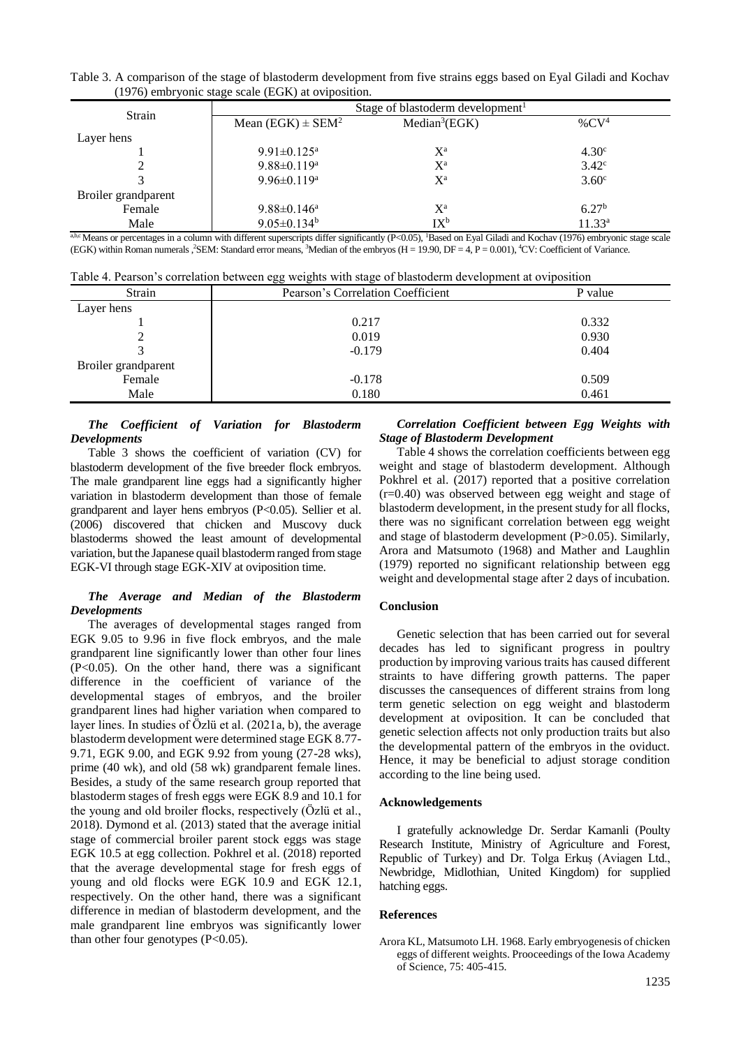Table 3. A comparison of the stage of blastoderm development from five strains eggs based on Eyal Giladi and Kochav (1976) embryonic stage scale (EGK) at oviposition.

| Strain              |                                   | Stage of blastoderm development <sup>1</sup> |                   |
|---------------------|-----------------------------------|----------------------------------------------|-------------------|
|                     | Mean (EGK) $\pm$ SEM <sup>2</sup> | Median <sup>3</sup> (EGK)                    | % $CV4$           |
| Layer hens          |                                   |                                              |                   |
|                     | 9.91 $\pm$ 0.125 <sup>a</sup>     | $X^{\mathrm{a}}$                             | 4.30 <sup>c</sup> |
|                     | $9.88 \pm 0.119^a$                | $X^{\mathrm{a}}$                             | 3.42 <sup>c</sup> |
| 3                   | 9.96 $\pm$ 0.119 <sup>a</sup>     | $X^{\mathrm{a}}$                             | 3.60 <sup>c</sup> |
| Broiler grandparent |                                   |                                              |                   |
| Female              | $9.88 \pm 0.146^a$                | $X^{\mathrm{a}}$                             | 6.27 <sup>b</sup> |
| Male                | $9.05 \pm 0.134$ <sup>b</sup>     | $IX^b$                                       | $11.33^a$         |

 $a$ ,b,c Means or percentages in a column with different superscripts differ significantly (P<0.05), <sup>1</sup>Based on Eyal Giladi and Kochav (1976) embryonic stage scale (EGK) within Roman numerals ,<sup>2</sup>SEM: Standard error means, <sup>3</sup>Median of the embryos (H = 19.90, DF = 4, P = 0.001), <sup>4</sup>CV: Coefficient of Variance.

Table 4. Pearson's correlation between egg weights with stage of blastoderm development at oviposition

| Strain              | $\check{ }$<br>Pearson's Correlation Coefficient | P value |
|---------------------|--------------------------------------------------|---------|
| Layer hens          |                                                  |         |
|                     | 0.217                                            | 0.332   |
|                     | 0.019                                            | 0.930   |
|                     | $-0.179$                                         | 0.404   |
| Broiler grandparent |                                                  |         |
| Female              | $-0.178$                                         | 0.509   |
| Male                | 0.180                                            | 0.461   |

# *The Coefficient of Variation for Blastoderm Developments*

Table 3 shows the coefficient of variation (CV) for blastoderm development of the five breeder flock embryos. The male grandparent line eggs had a significantly higher variation in blastoderm development than those of female grandparent and layer hens embryos (P<0.05). Sellier et al. (2006) discovered that chicken and Muscovy duck blastoderms showed the least amount of developmental variation, but the Japanese quail blastoderm ranged from stage EGK-VI through stage EGK-XIV at oviposition time.

# *The Average and Median of the Blastoderm Developments*

The averages of developmental stages ranged from EGK 9.05 to 9.96 in five flock embryos, and the male grandparent line significantly lower than other four lines (P<0.05). On the other hand, there was a significant difference in the coefficient of variance of the developmental stages of embryos, and the broiler grandparent lines had higher variation when compared to layer lines. In studies of Özlü et al. (2021a, b), the average blastoderm development were determined stage EGK 8.77- 9.71, EGK 9.00, and EGK 9.92 from young (27-28 wks), prime (40 wk), and old (58 wk) grandparent female lines. Besides, a study of the same research group reported that blastoderm stages of fresh eggs were EGK 8.9 and 10.1 for the young and old broiler flocks, respectively (Özlü et al., 2018). Dymond et al. (2013) stated that the average initial stage of commercial broiler parent stock eggs was stage EGK 10.5 at egg collection. Pokhrel et al. (2018) reported that the average developmental stage for fresh eggs of young and old flocks were EGK 10.9 and EGK 12.1, respectively. On the other hand, there was a significant difference in median of blastoderm development, and the male grandparent line embryos was significantly lower than other four genotypes  $(P<0.05)$ .

# *Correlation Coefficient between Egg Weights with Stage of Blastoderm Development*

Table 4 shows the correlation coefficients between egg weight and stage of blastoderm development. Although Pokhrel et al. (2017) reported that a positive correlation (r=0.40) was observed between egg weight and stage of blastoderm development, in the present study for all flocks, there was no significant correlation between egg weight and stage of blastoderm development (P>0.05). Similarly, Arora and Matsumoto (1968) and Mather and Laughlin (1979) reported no significant relationship between egg weight and developmental stage after 2 days of incubation.

## **Conclusion**

Genetic selection that has been carried out for several decades has led to significant progress in poultry production by improving various traits has caused different straints to have differing growth patterns. The paper discusses the cansequences of different strains from long term genetic selection on egg weight and blastoderm development at oviposition. It can be concluded that genetic selection affects not only production traits but also the developmental pattern of the embryos in the oviduct. Hence, it may be beneficial to adjust storage condition according to the line being used.

## **Acknowledgements**

I gratefully acknowledge Dr. Serdar Kamanli (Poulty Research Institute, Ministry of Agriculture and Forest, Republic of Turkey) and Dr. Tolga Erkuş (Aviagen Ltd., Newbridge, Midlothian, United Kingdom) for supplied hatching eggs.

## **References**

Arora KL, Matsumoto LH. 1968. Early embryogenesis of chicken eggs of different weights. Prooceedings of the Iowa Academy of Science, 75: 405-415.